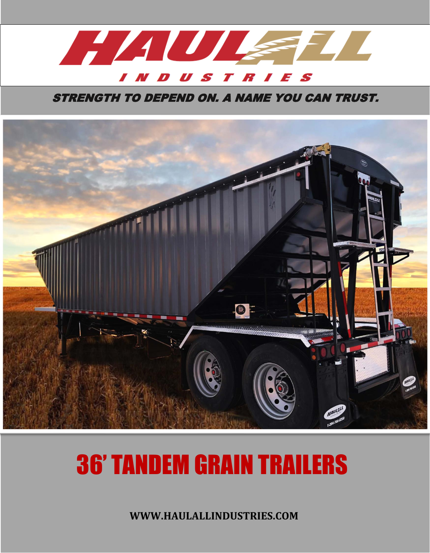

STRENGTH TO DEPEND ON. A NAME YOU CAN TRUST.



## 36' TANDEM GRAIN TRAILERS

**WWW.HAULALLINDUSTRIES.COM**